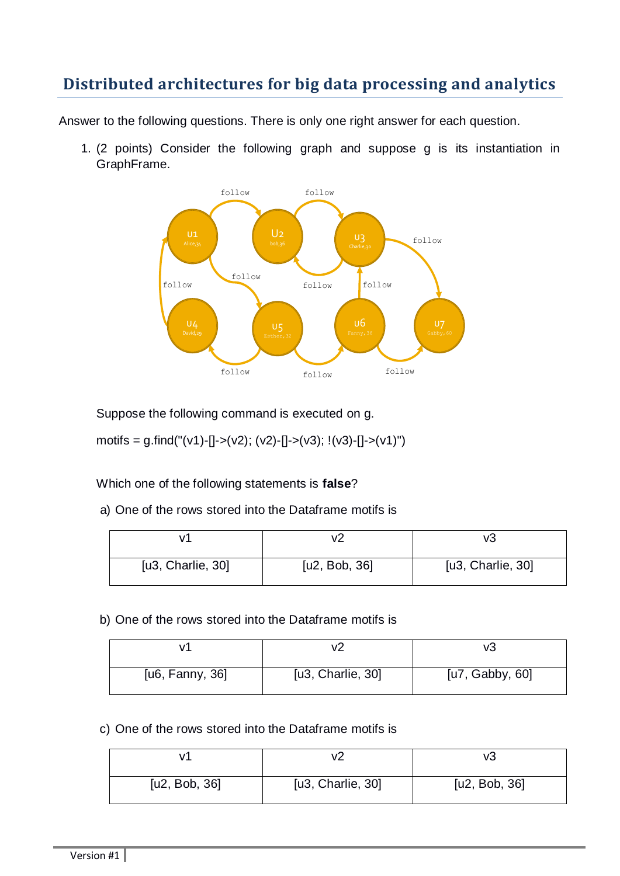## **Distributed architectures for big data processing and analytics**

Answer to the following questions. There is only one right answer for each question.

1. (2 points) Consider the following graph and suppose g is its instantiation in GraphFrame.



Suppose the following command is executed on g.

motifs = g.find("(v1)-[]->(v2); (v2)-[]->(v3); !(v3)-[]->(v1)")

Which one of the following statements is **false**?

a) One of the rows stored into the Dataframe motifs is

|                          |               | v.                       |
|--------------------------|---------------|--------------------------|
| [ $u3$ , Charlie, $30$ ] | [u2, Bob, 36] | [ $u3$ , Charlie, $30$ ] |

b) One of the rows stored into the Dataframe motifs is

| v               |                          | V3              |
|-----------------|--------------------------|-----------------|
| [u6, Fanny, 36] | [ $u3$ , Charlie, $30$ ] | [u7, Gabby, 60] |

c) One of the rows stored into the Dataframe motifs is

| v             |                   | Vć            |
|---------------|-------------------|---------------|
| [u2, Bob, 36] | [u3, Charlie, 30] | [u2, Bob, 36] |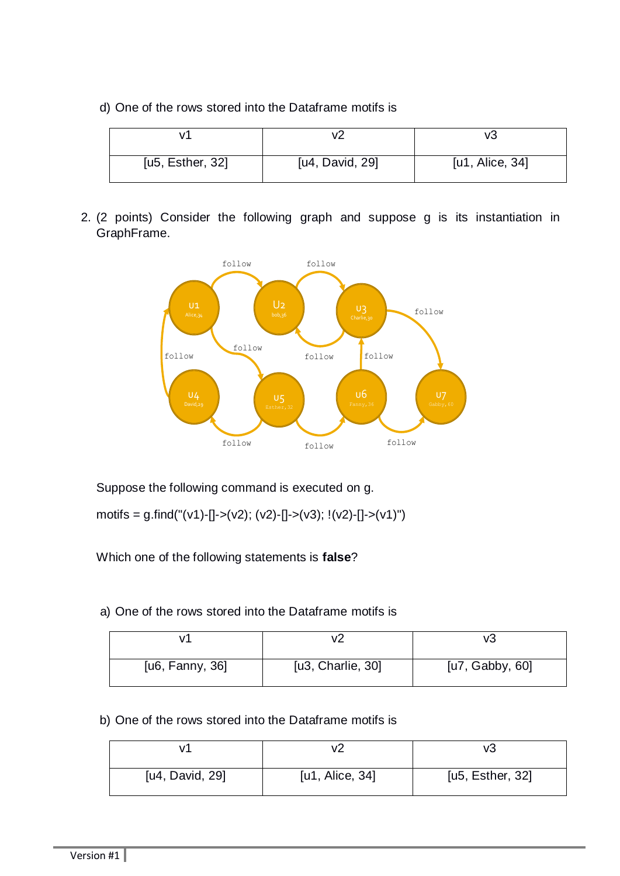d) One of the rows stored into the Dataframe motifs is

|                  |                 | V٥              |
|------------------|-----------------|-----------------|
| [u5, Esther, 32] | [u4, David, 29] | [u1, Alice, 34] |

2. (2 points) Consider the following graph and suppose g is its instantiation in GraphFrame.



Suppose the following command is executed on g.

motifs = g.find("(v1)-[]->(v2); (v2)-[]->(v3); !(v2)-[]->(v1)")

Which one of the following statements is **false**?

## a) One of the rows stored into the Dataframe motifs is

| v1              |                   | Vć              |
|-----------------|-------------------|-----------------|
| [u6, Fanny, 36] | [u3, Charlie, 30] | [u7, Gabby, 60] |

b) One of the rows stored into the Dataframe motifs is

| v٦              | v2              | vЗ               |
|-----------------|-----------------|------------------|
| [u4, David, 29] | [u1, Alice, 34] | [u5, Esther, 32] |